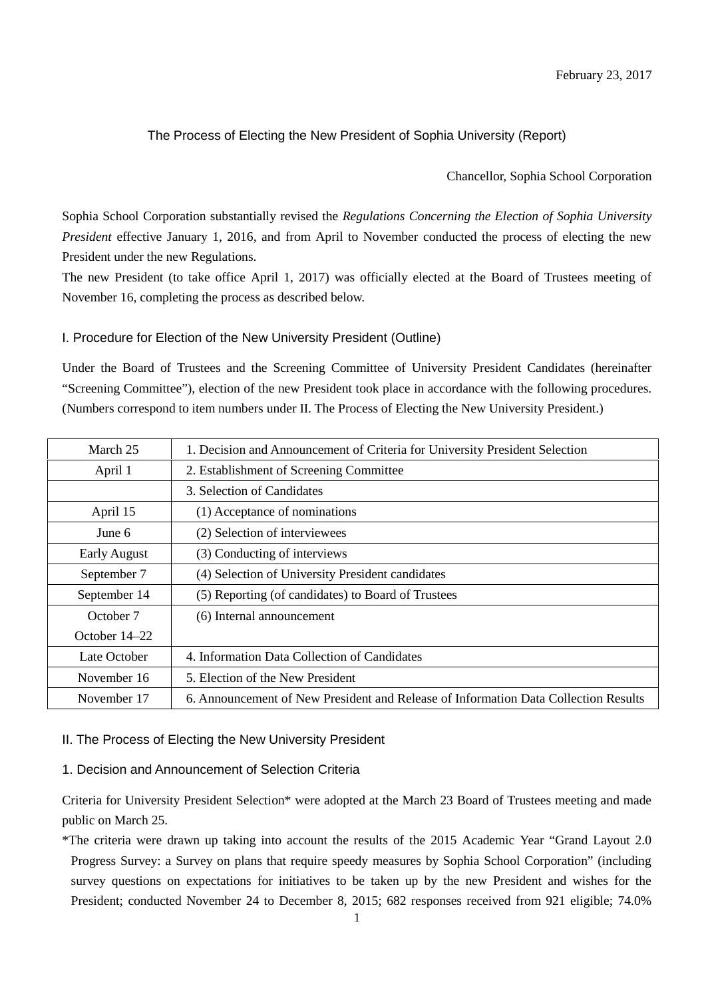# The Process of Electing the New President of Sophia University (Report)

#### Chancellor, Sophia School Corporation

Sophia School Corporation substantially revised the *Regulations Concerning the Election of Sophia University President* effective January 1, 2016, and from April to November conducted the process of electing the new President under the new Regulations.

The new President (to take office April 1, 2017) was officially elected at the Board of Trustees meeting of November 16, completing the process as described below.

## I. Procedure for Election of the New University President (Outline)

Under the Board of Trustees and the Screening Committee of University President Candidates (hereinafter "Screening Committee"), election of the new President took place in accordance with the following procedures. (Numbers correspond to item numbers under II. The Process of Electing the New University President.)

| March 25            | 1. Decision and Announcement of Criteria for University President Selection         |  |  |
|---------------------|-------------------------------------------------------------------------------------|--|--|
| April 1             | 2. Establishment of Screening Committee                                             |  |  |
|                     | 3. Selection of Candidates                                                          |  |  |
| April 15            | (1) Acceptance of nominations                                                       |  |  |
| June $6$            | (2) Selection of interviewees                                                       |  |  |
| <b>Early August</b> | (3) Conducting of interviews                                                        |  |  |
| September 7         | (4) Selection of University President candidates                                    |  |  |
| September 14        | (5) Reporting (of candidates) to Board of Trustees                                  |  |  |
| October 7           | (6) Internal announcement                                                           |  |  |
| October 14–22       |                                                                                     |  |  |
| Late October        | 4. Information Data Collection of Candidates                                        |  |  |
| November 16         | 5. Election of the New President                                                    |  |  |
| November 17         | 6. Announcement of New President and Release of Information Data Collection Results |  |  |

#### II. The Process of Electing the New University President

## 1. Decision and Announcement of Selection Criteria

Criteria for University President Selection\* were adopted at the March 23 Board of Trustees meeting and made public on March 25.

\*The criteria were drawn up taking into account the results of the 2015 Academic Year "Grand Layout 2.0 Progress Survey: a Survey on plans that require speedy measures by Sophia School Corporation" (including survey questions on expectations for initiatives to be taken up by the new President and wishes for the President; conducted November 24 to December 8, 2015; 682 responses received from 921 eligible; 74.0%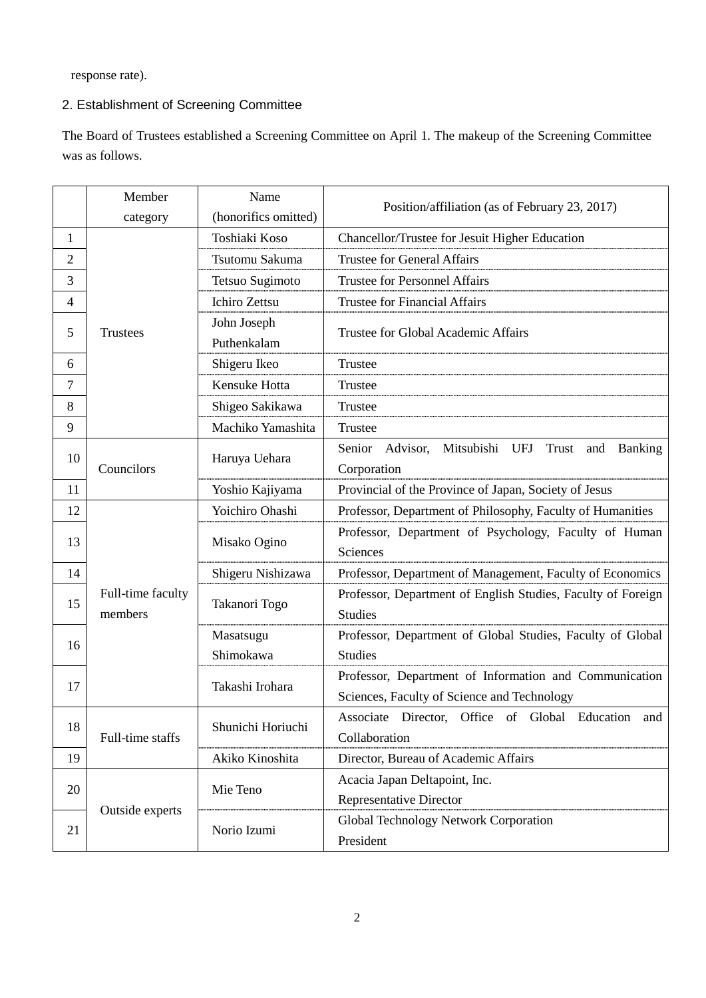response rate).

# 2. Establishment of Screening Committee

The Board of Trustees established a Screening Committee on April 1. The makeup of the Screening Committee was as follows.

|                | Member                       | Name                 | Position/affiliation (as of February 23, 2017)               |  |
|----------------|------------------------------|----------------------|--------------------------------------------------------------|--|
|                | category                     | (honorifics omitted) |                                                              |  |
| 1              |                              | Toshiaki Koso        | Chancellor/Trustee for Jesuit Higher Education               |  |
| $\overline{2}$ |                              | Tsutomu Sakuma       | <b>Trustee for General Affairs</b>                           |  |
| 3              |                              | Tetsuo Sugimoto      | <b>Trustee for Personnel Affairs</b>                         |  |
| 4              |                              | <b>Ichiro Zettsu</b> | <b>Trustee for Financial Affairs</b>                         |  |
| 5              | <b>Trustees</b>              | John Joseph          | Trustee for Global Academic Affairs                          |  |
|                |                              | Puthenkalam          |                                                              |  |
| 6              |                              | Shigeru Ikeo         | Trustee                                                      |  |
| 7              |                              | Kensuke Hotta        | Trustee                                                      |  |
| 8              |                              | Shigeo Sakikawa      | Trustee                                                      |  |
| 9              |                              | Machiko Yamashita    | Trustee                                                      |  |
| 10             | Councilors                   | Haruya Uehara        | Senior Advisor,<br>Mitsubishi UFJ<br>Trust and Banking       |  |
|                |                              |                      | Corporation                                                  |  |
| 11             |                              | Yoshio Kajiyama      | Provincial of the Province of Japan, Society of Jesus        |  |
| 12             |                              | Yoichiro Ohashi      | Professor, Department of Philosophy, Faculty of Humanities   |  |
| 13             |                              | Misako Ogino         | Professor, Department of Psychology, Faculty of Human        |  |
|                |                              |                      | Sciences                                                     |  |
| 14             |                              | Shigeru Nishizawa    | Professor, Department of Management, Faculty of Economics    |  |
|                | Full-time faculty<br>members | Takanori Togo        | Professor, Department of English Studies, Faculty of Foreign |  |
| 15             |                              |                      | <b>Studies</b>                                               |  |
|                |                              | Masatsugu            | Professor, Department of Global Studies, Faculty of Global   |  |
| 16             |                              | Shimokawa            | <b>Studies</b>                                               |  |
| 17             |                              | Takashi Irohara      | Professor, Department of Information and Communication       |  |
|                |                              |                      | Sciences, Faculty of Science and Technology                  |  |
|                | Full-time staffs             | Shunichi Horiuchi    | Associate Director, Office of Global Education and           |  |
| 18             |                              |                      | Collaboration                                                |  |
| 19             |                              | Akiko Kinoshita      | Director, Bureau of Academic Affairs                         |  |
| 20             | Outside experts              | Mie Teno             | Acacia Japan Deltapoint, Inc.                                |  |
|                |                              |                      | <b>Representative Director</b>                               |  |
|                |                              | Norio Izumi          | Global Technology Network Corporation                        |  |
| 21             |                              |                      | President                                                    |  |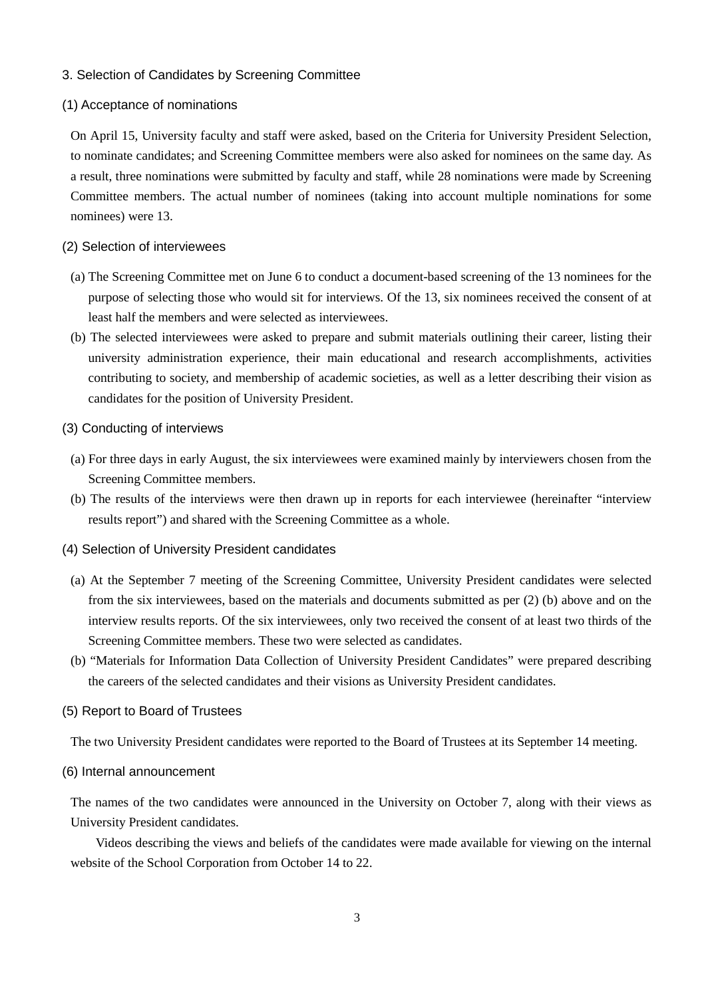## 3. Selection of Candidates by Screening Committee

#### (1) Acceptance of nominations

On April 15, University faculty and staff were asked, based on the Criteria for University President Selection, to nominate candidates; and Screening Committee members were also asked for nominees on the same day. As a result, three nominations were submitted by faculty and staff, while 28 nominations were made by Screening Committee members. The actual number of nominees (taking into account multiple nominations for some nominees) were 13.

#### (2) Selection of interviewees

- (a) The Screening Committee met on June 6 to conduct a document-based screening of the 13 nominees for the purpose of selecting those who would sit for interviews. Of the 13, six nominees received the consent of at least half the members and were selected as interviewees.
- (b) The selected interviewees were asked to prepare and submit materials outlining their career, listing their university administration experience, their main educational and research accomplishments, activities contributing to society, and membership of academic societies, as well as a letter describing their vision as candidates for the position of University President.

#### (3) Conducting of interviews

- (a) For three days in early August, the six interviewees were examined mainly by interviewers chosen from the Screening Committee members.
- (b) The results of the interviews were then drawn up in reports for each interviewee (hereinafter "interview results report") and shared with the Screening Committee as a whole.
- (4) Selection of University President candidates
	- (a) At the September 7 meeting of the Screening Committee, University President candidates were selected from the six interviewees, based on the materials and documents submitted as per (2) (b) above and on the interview results reports. Of the six interviewees, only two received the consent of at least two thirds of the Screening Committee members. These two were selected as candidates.
	- (b) "Materials for Information Data Collection of University President Candidates" were prepared describing the careers of the selected candidates and their visions as University President candidates.

#### (5) Report to Board of Trustees

The two University President candidates were reported to the Board of Trustees at its September 14 meeting.

(6) Internal announcement

The names of the two candidates were announced in the University on October 7, along with their views as University President candidates.

Videos describing the views and beliefs of the candidates were made available for viewing on the internal website of the School Corporation from October 14 to 22.